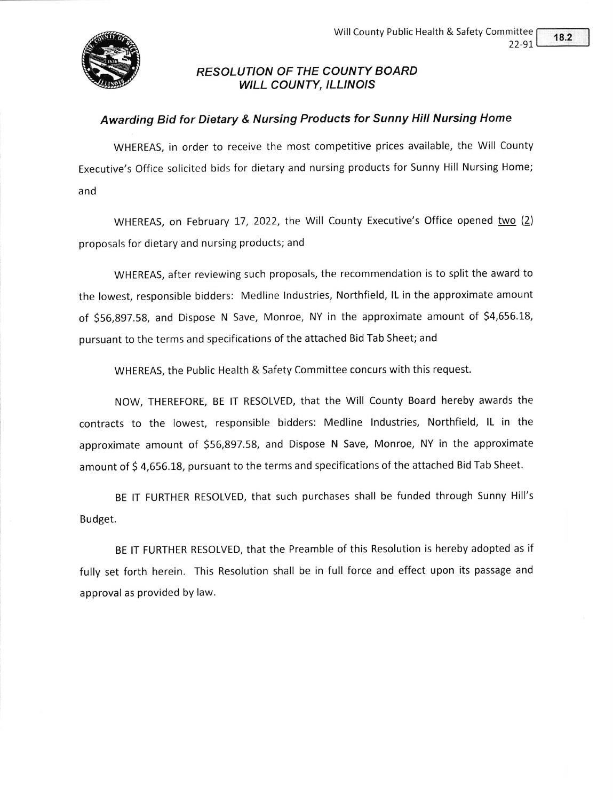

## RESOLUTION OF THE COUNTY BOARD WILL COUNTY, ILLINOIS

## Awarding Bid for Dietary & Nursing Products for Sunny Hill Nursing Home

WHEREAS, in order to receive the most competitive prices available, the Will County Executive's Office solicited bids for dietary and nursing products for Sunny Hill Nursing Home; and

WHEREAS, on February 17, 2022, the Will County Executive's Office opened two (2) proposals for dietary and nursing products; and

WHEREAS, after reviewing such proposals, the recommendation is to split the award to the lowest, responsible bidders: Medline lndustries, Northfield, lL in the approximate amount of \$56,897.58, and Dispose N Save, Monroe, NY in the approximate amount of \$4,656.18, pursuant to the terms and specifications of the attached Bid Tab Sheet; and

WHEREAS, the Public Health & Safety Committee concurs with this request.

NOW, THEREFORE, BE lT RESOLVED, that the Will County Board hereby awards the contracts to the lowest, responsible bidders: Medline lndustries, Northfield, lL in the approximate amount of 556,897.58, and Dispose N Save, Monroe, NY in the approximate amount of \$4,656.18, pursuant to the terms and specifications of the attached Bid Tab Sheet.

BE IT FURTHER RESOLVED, that such purchases shall be funded through Sunny Hill's Budget.

BE lT FURTHER RESOLVED, that the Preamble of this Resolution is hereby adopted as if fully set forth herein. This Resolution shall be in full force and effect upon its passage and approval as provided by law.